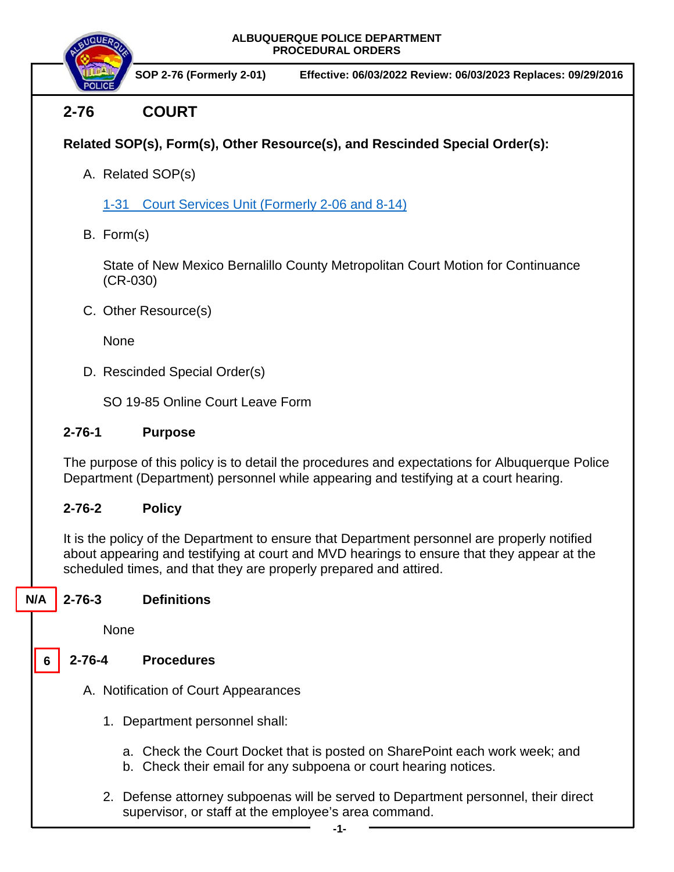

 **SOP 2-76 (Formerly 2-01) Effective: 06/03/2022 Review: 06/03/2023 Replaces: 09/29/2016**

# **2-76 COURT**

## **Related SOP(s), Form(s), Other Resource(s), and Rescinded Special Order(s):**

A. Related SOP(s)

1-31 Court Services Unit [\(Formerly 2-06 and 8-14\)](https://powerdms.com/docs/939?q=1-31)

B. Form(s)

State of New Mexico Bernalillo County Metropolitan Court Motion for Continuance (CR-030)

C. Other Resource(s)

None

D. Rescinded Special Order(s)

SO 19-85 Online Court Leave Form

## **2-76-1 Purpose**

The purpose of this policy is to detail the procedures and expectations for Albuquerque Police Department (Department) personnel while appearing and testifying at a court hearing.

## **2-76-2 Policy**

It is the policy of the Department to ensure that Department personnel are properly notified about appearing and testifying at court and MVD hearings to ensure that they appear at the scheduled times, and that they are properly prepared and attired.

#### **2-76-3 Definitions N/A**

None

**6**

## **2-76-4 Procedures**

- A. Notification of Court Appearances
	- 1. Department personnel shall:
		- a. Check the Court Docket that is posted on SharePoint each work week; and
		- b. Check their email for any subpoena or court hearing notices.
	- 2. Defense attorney subpoenas will be served to Department personnel, their direct supervisor, or staff at the employee's area command.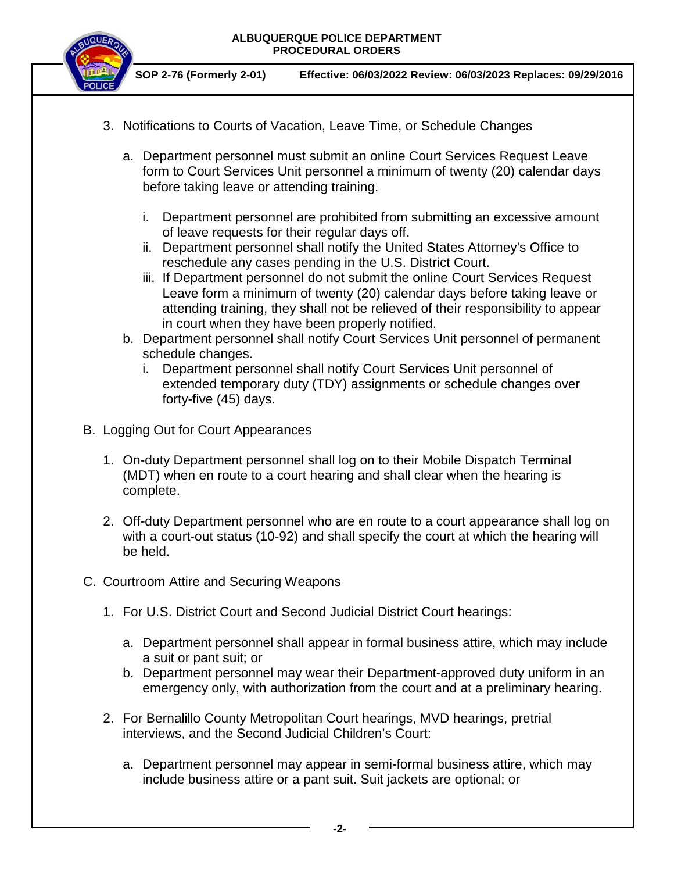



 **SOP 2-76 (Formerly 2-01) Effective: 06/03/2022 Review: 06/03/2023 Replaces: 09/29/2016**

- 3. Notifications to Courts of Vacation, Leave Time, or Schedule Changes
	- a. Department personnel must submit an online Court Services Request Leave form to Court Services Unit personnel a minimum of twenty (20) calendar days before taking leave or attending training.
		- i. Department personnel are prohibited from submitting an excessive amount of leave requests for their regular days off.
		- ii. Department personnel shall notify the United States Attorney's Office to reschedule any cases pending in the U.S. District Court.
		- iii. If Department personnel do not submit the online Court Services Request Leave form a minimum of twenty (20) calendar days before taking leave or attending training, they shall not be relieved of their responsibility to appear in court when they have been properly notified.
	- b. Department personnel shall notify Court Services Unit personnel of permanent schedule changes.
		- i. Department personnel shall notify Court Services Unit personnel of extended temporary duty (TDY) assignments or schedule changes over forty-five (45) days.
- B. Logging Out for Court Appearances
	- 1. On-duty Department personnel shall log on to their Mobile Dispatch Terminal (MDT) when en route to a court hearing and shall clear when the hearing is complete.
	- 2. Off-duty Department personnel who are en route to a court appearance shall log on with a court-out status (10-92) and shall specify the court at which the hearing will be held.
- C. Courtroom Attire and Securing Weapons
	- 1. For U.S. District Court and Second Judicial District Court hearings:
		- a. Department personnel shall appear in formal business attire, which may include a suit or pant suit; or
		- b. Department personnel may wear their Department-approved duty uniform in an emergency only, with authorization from the court and at a preliminary hearing.
	- 2. For Bernalillo County Metropolitan Court hearings, MVD hearings, pretrial interviews, and the Second Judicial Children's Court:
		- a. Department personnel may appear in semi-formal business attire, which may include business attire or a pant suit. Suit jackets are optional; or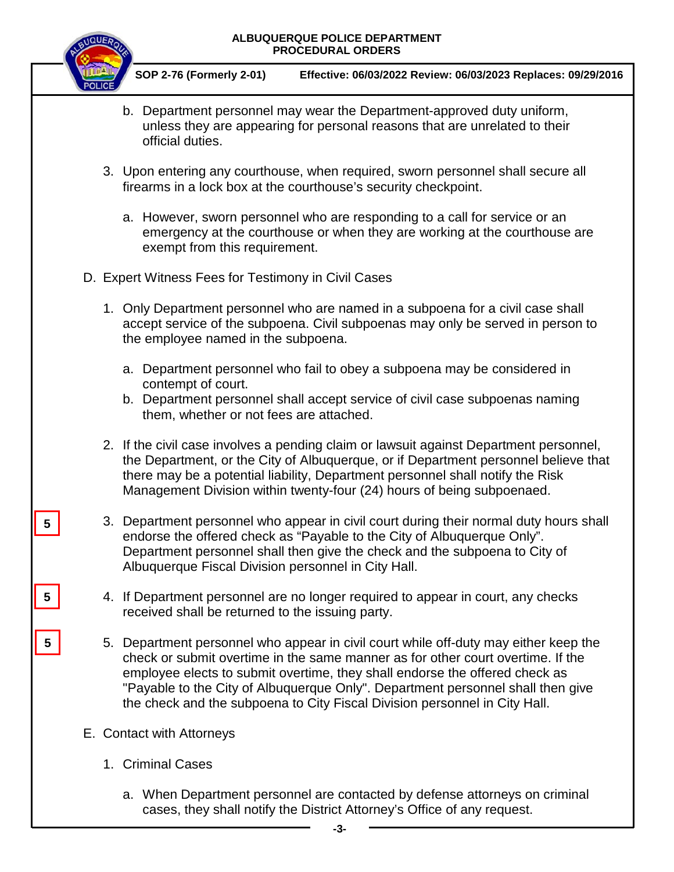

 **SOP 2-76 (Formerly 2-01) Effective: 06/03/2022 Review: 06/03/2023 Replaces: 09/29/2016**

- b. Department personnel may wear the Department-approved duty uniform, unless they are appearing for personal reasons that are unrelated to their official duties.
- 3. Upon entering any courthouse, when required, sworn personnel shall secure all firearms in a lock box at the courthouse's security checkpoint.
	- a. However, sworn personnel who are responding to a call for service or an emergency at the courthouse or when they are working at the courthouse are exempt from this requirement.
- D. Expert Witness Fees for Testimony in Civil Cases
	- 1. Only Department personnel who are named in a subpoena for a civil case shall accept service of the subpoena. Civil subpoenas may only be served in person to the employee named in the subpoena.
		- a. Department personnel who fail to obey a subpoena may be considered in contempt of court.
		- b. Department personnel shall accept service of civil case subpoenas naming them, whether or not fees are attached.
	- 2. If the civil case involves a pending claim or lawsuit against Department personnel, the Department, or the City of Albuquerque, or if Department personnel believe that there may be a potential liability, Department personnel shall notify the Risk Management Division within twenty-four (24) hours of being subpoenaed.
	- 3. Department personnel who appear in civil court during their normal duty hours shall endorse the offered check as "Payable to the City of Albuquerque Only". Department personnel shall then give the check and the subpoena to City of Albuquerque Fiscal Division personnel in City Hall.
	- 4. If Department personnel are no longer required to appear in court, any checks received shall be returned to the issuing party.
	- 5. Department personnel who appear in civil court while off-duty may either keep the check or submit overtime in the same manner as for other court overtime. If the employee elects to submit overtime, they shall endorse the offered check as "Payable to the City of Albuquerque Only". Department personnel shall then give the check and the subpoena to City Fiscal Division personnel in City Hall.
- E. Contact with Attorneys

**5**

**5**

**5**

- 1. Criminal Cases
	- a. When Department personnel are contacted by defense attorneys on criminal cases, they shall notify the District Attorney's Office of any request.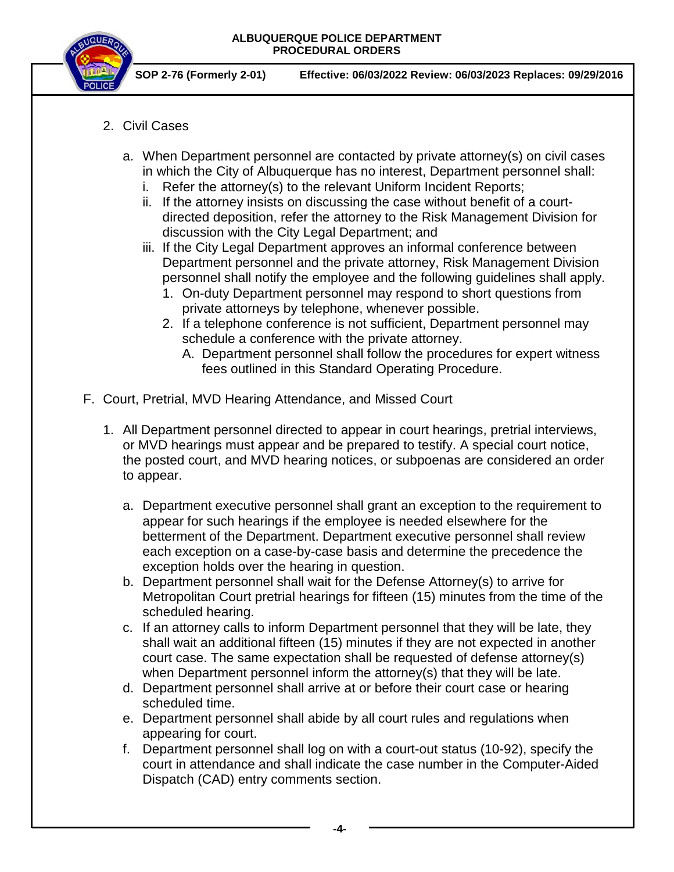

 **SOP 2-76 (Formerly 2-01) Effective: 06/03/2022 Review: 06/03/2023 Replaces: 09/29/2016**

- 2. Civil Cases
	- a. When Department personnel are contacted by private attorney(s) on civil cases in which the City of Albuquerque has no interest, Department personnel shall:
		- i. Refer the attorney(s) to the relevant Uniform Incident Reports;
		- ii. If the attorney insists on discussing the case without benefit of a courtdirected deposition, refer the attorney to the Risk Management Division for discussion with the City Legal Department; and
		- iii. If the City Legal Department approves an informal conference between Department personnel and the private attorney, Risk Management Division personnel shall notify the employee and the following guidelines shall apply.
			- 1. On-duty Department personnel may respond to short questions from private attorneys by telephone, whenever possible.
			- 2. If a telephone conference is not sufficient, Department personnel may schedule a conference with the private attorney.
				- A. Department personnel shall follow the procedures for expert witness fees outlined in this Standard Operating Procedure.
- F. Court, Pretrial, MVD Hearing Attendance, and Missed Court
	- 1. All Department personnel directed to appear in court hearings, pretrial interviews, or MVD hearings must appear and be prepared to testify. A special court notice, the posted court, and MVD hearing notices, or subpoenas are considered an order to appear.
		- a. Department executive personnel shall grant an exception to the requirement to appear for such hearings if the employee is needed elsewhere for the betterment of the Department. Department executive personnel shall review each exception on a case-by-case basis and determine the precedence the exception holds over the hearing in question.
		- b. Department personnel shall wait for the Defense Attorney(s) to arrive for Metropolitan Court pretrial hearings for fifteen (15) minutes from the time of the scheduled hearing.
		- c. If an attorney calls to inform Department personnel that they will be late, they shall wait an additional fifteen (15) minutes if they are not expected in another court case. The same expectation shall be requested of defense attorney(s) when Department personnel inform the attorney(s) that they will be late.
		- d. Department personnel shall arrive at or before their court case or hearing scheduled time.
		- e. Department personnel shall abide by all court rules and regulations when appearing for court.
		- f. Department personnel shall log on with a court-out status (10-92), specify the court in attendance and shall indicate the case number in the Computer-Aided Dispatch (CAD) entry comments section.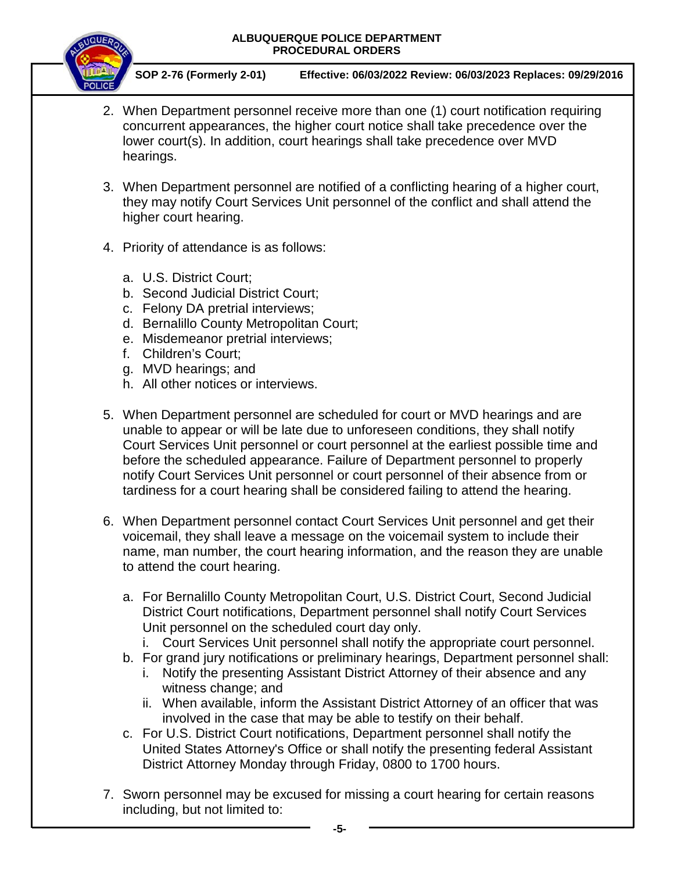

 **SOP 2-76 (Formerly 2-01) Effective: 06/03/2022 Review: 06/03/2023 Replaces: 09/29/2016**

- 2. When Department personnel receive more than one (1) court notification requiring concurrent appearances, the higher court notice shall take precedence over the lower court(s). In addition, court hearings shall take precedence over MVD hearings.
- 3. When Department personnel are notified of a conflicting hearing of a higher court, they may notify Court Services Unit personnel of the conflict and shall attend the higher court hearing.
- 4. Priority of attendance is as follows:
	- a. U.S. District Court;
	- b. Second Judicial District Court;
	- c. Felony DA pretrial interviews;
	- d. Bernalillo County Metropolitan Court;
	- e. Misdemeanor pretrial interviews;
	- f. Children's Court;
	- g. MVD hearings; and
	- h. All other notices or interviews.
- 5. When Department personnel are scheduled for court or MVD hearings and are unable to appear or will be late due to unforeseen conditions, they shall notify Court Services Unit personnel or court personnel at the earliest possible time and before the scheduled appearance. Failure of Department personnel to properly notify Court Services Unit personnel or court personnel of their absence from or tardiness for a court hearing shall be considered failing to attend the hearing.
- 6. When Department personnel contact Court Services Unit personnel and get their voicemail, they shall leave a message on the voicemail system to include their name, man number, the court hearing information, and the reason they are unable to attend the court hearing.
	- a. For Bernalillo County Metropolitan Court, U.S. District Court, Second Judicial District Court notifications, Department personnel shall notify Court Services Unit personnel on the scheduled court day only.
		- i. Court Services Unit personnel shall notify the appropriate court personnel.
	- b. For grand jury notifications or preliminary hearings, Department personnel shall:
		- i. Notify the presenting Assistant District Attorney of their absence and any witness change; and
		- ii. When available, inform the Assistant District Attorney of an officer that was involved in the case that may be able to testify on their behalf.
	- c. For U.S. District Court notifications, Department personnel shall notify the United States Attorney's Office or shall notify the presenting federal Assistant District Attorney Monday through Friday, 0800 to 1700 hours.
- 7. Sworn personnel may be excused for missing a court hearing for certain reasons including, but not limited to: